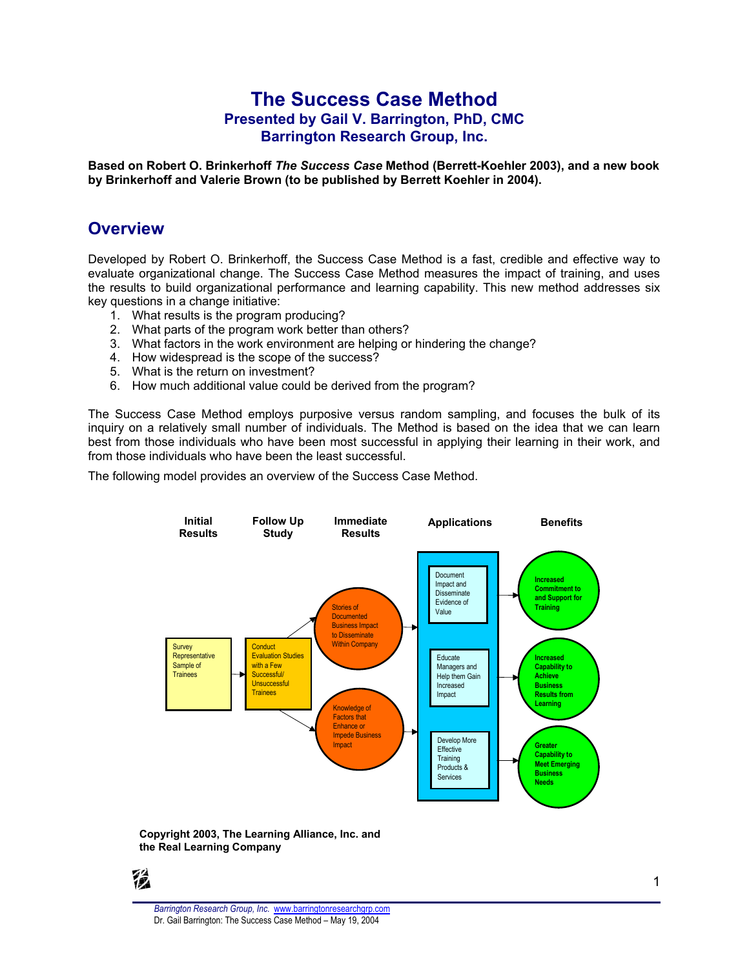## **The Success Case Method Presented by Gail V. Barrington, PhD, CMC Barrington Research Group, Inc.**

**Based on Robert O. Brinkerhoff** *The Success Case* **Method (Berrett-Koehler 2003), and a new book by Brinkerhoff and Valerie Brown (to be published by Berrett Koehler in 2004).**

### **Overview**

Developed by Robert O. Brinkerhoff, the Success Case Method is a fast, credible and effective way to evaluate organizational change. The Success Case Method measures the impact of training, and uses the results to build organizational performance and learning capability. This new method addresses six key questions in a change initiative:

- 1. What results is the program producing?
- 2. What parts of the program work better than others?
- 3. What factors in the work environment are helping or hindering the change?
- 4. How widespread is the scope of the success?
- 5. What is the return on investment?
- 6. How much additional value could be derived from the program?

The Success Case Method employs purposive versus random sampling, and focuses the bulk of its inquiry on a relatively small number of individuals. The Method is based on the idea that we can learn best from those individuals who have been most successful in applying their learning in their work, and from those individuals who have been the least successful.

The following model provides an overview of the Success Case Method.



#### **Copyright 2003, The Learning Alliance, Inc. and the Real Learning Company**

穩

*Barrington Research Group, Inc.* [www.barringtonresearchgrp.com](http://www.barringtonresearchgrp.com) Dr. Gail Barrington: The Success Case Method – May 19, 2004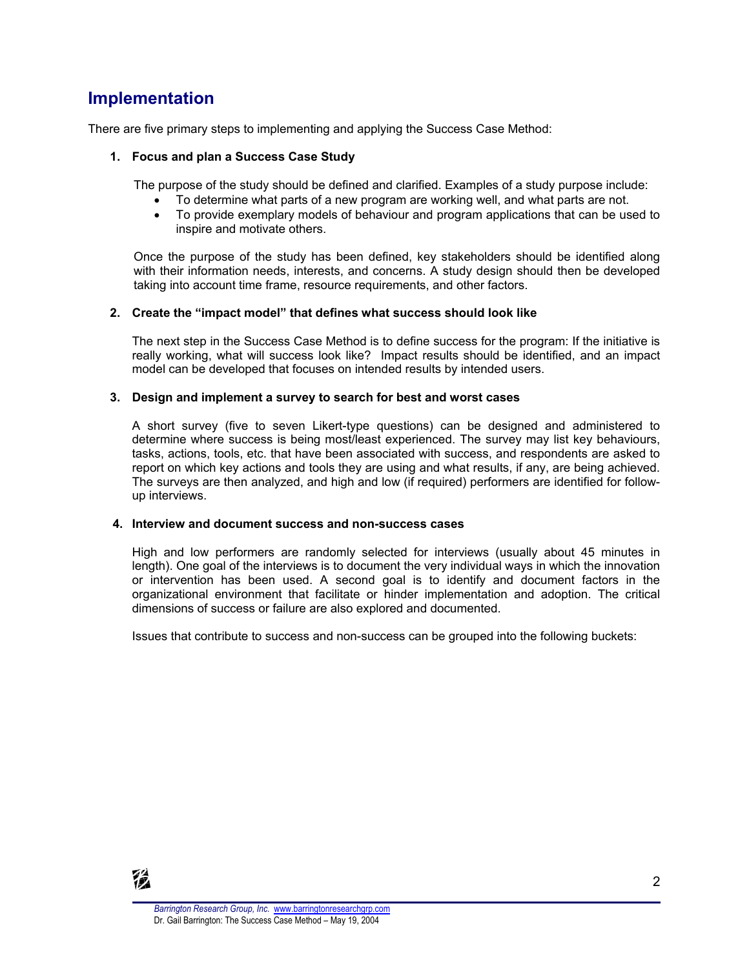# **Implementation**

There are five primary steps to implementing and applying the Success Case Method:

### **1. Focus and plan a Success Case Study**

The purpose of the study should be defined and clarified. Examples of a study purpose include:

- · To determine what parts of a new program are working well, and what parts are not.
- · To provide exemplary models of behaviour and program applications that can be used to inspire and motivate others.

Once the purpose of the study has been defined, key stakeholders should be identified along with their information needs, interests, and concerns. A study design should then be developed taking into account time frame, resource requirements, and other factors.

#### **2. Create the "impact model" that defines what success should look like**

The next step in the Success Case Method is to define success for the program: If the initiative is really working, what will success look like? Impact results should be identified, and an impact model can be developed that focuses on intended results by intended users.

#### **3. Design and implement a survey to search for best and worst cases**

A short survey (five to seven Likert-type questions) can be designed and administered to determine where success is being most/least experienced. The survey may list key behaviours, tasks, actions, tools, etc. that have been associated with success, and respondents are asked to report on which key actions and tools they are using and what results, if any, are being achieved. The surveys are then analyzed, and high and low (if required) performers are identified for followup interviews.

#### **4. Interview and document success and non-success cases**

High and low performers are randomly selected for interviews (usually about 45 minutes in length). One goal of the interviews is to document the very individual ways in which the innovation or intervention has been used. A second goal is to identify and document factors in the organizational environment that facilitate or hinder implementation and adoption. The critical dimensions of success or failure are also explored and documented.

Issues that contribute to success and non-success can be grouped into the following buckets: